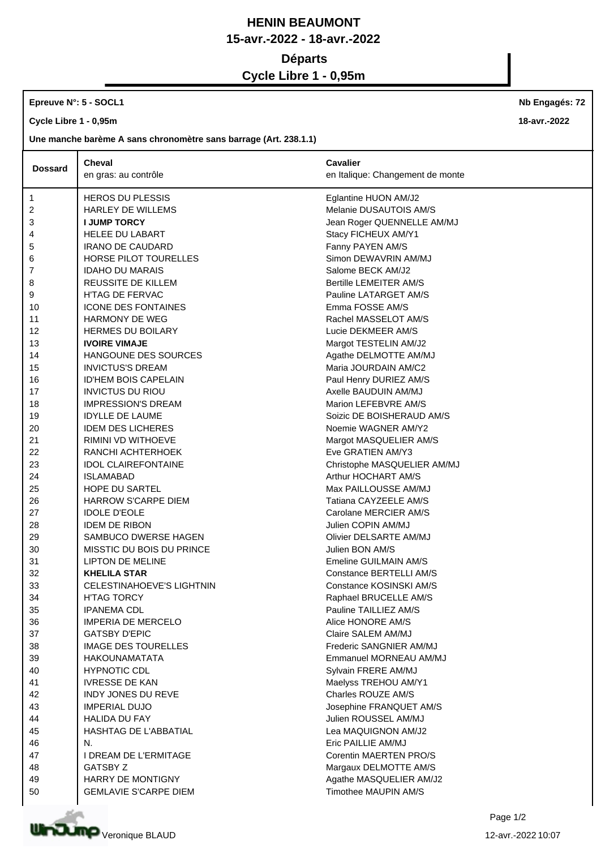## **HENIN BEAUMONT 15-avr.-2022 - 18-avr.-2022 Départs**

**Cycle Libre 1 - 0,95m**

## **Epreuve N°: 5 - SOCL1**

**Cycle Libre 1 - 0,95m**

**Une manche barème A sans chronomètre sans barrage (Art. 238.1.1)**

| <b>Dossard</b> | <b>Cheval</b>                    | <b>Cavalier</b>                  |  |
|----------------|----------------------------------|----------------------------------|--|
|                | en gras: au contrôle             | en Italique: Changement de monte |  |
| $\mathbf{1}$   | <b>HEROS DU PLESSIS</b>          | Eglantine HUON AM/J2             |  |
| 2              | <b>HARLEY DE WILLEMS</b>         | Melanie DUSAUTOIS AM/S           |  |
| 3              | <b>I JUMP TORCY</b>              | Jean Roger QUENNELLE AM/MJ       |  |
| 4              | HELEE DU LABART                  | Stacy FICHEUX AM/Y1              |  |
| 5              | <b>IRANO DE CAUDARD</b>          | Fanny PAYEN AM/S                 |  |
| 6              | HORSE PILOT TOURELLES            | Simon DEWAVRIN AM/MJ             |  |
| 7              | <b>IDAHO DU MARAIS</b>           | Salome BECK AM/J2                |  |
| 8              | <b>REUSSITE DE KILLEM</b>        | Bertille LEMEITER AM/S           |  |
| 9              | <b>H'TAG DE FERVAC</b>           | Pauline LATARGET AM/S            |  |
| 10             | <b>ICONE DES FONTAINES</b>       | Emma FOSSE AM/S                  |  |
| 11             | HARMONY DE WEG                   | Rachel MASSELOT AM/S             |  |
| 12             | <b>HERMES DU BOILARY</b>         | Lucie DEKMEER AM/S               |  |
| 13             | <b>IVOIRE VIMAJE</b>             | Margot TESTELIN AM/J2            |  |
| 14             | HANGOUNE DES SOURCES             | Agathe DELMOTTE AM/MJ            |  |
| 15             | <b>INVICTUS'S DREAM</b>          | Maria JOURDAIN AM/C2             |  |
| 16             | <b>ID'HEM BOIS CAPELAIN</b>      | Paul Henry DURIEZ AM/S           |  |
| 17             | <b>INVICTUS DU RIOU</b>          | Axelle BAUDUIN AM/MJ             |  |
| 18             | <b>IMPRESSION'S DREAM</b>        | Marion LEFEBVRE AM/S             |  |
| 19             | <b>IDYLLE DE LAUME</b>           | Soizic DE BOISHERAUD AM/S        |  |
| 20             | <b>IDEM DES LICHERES</b>         | Noemie WAGNER AM/Y2              |  |
| 21             | RIMINI VD WITHOEVE               | Margot MASQUELIER AM/S           |  |
| 22             | RANCHI ACHTERHOEK                | Eve GRATIEN AM/Y3                |  |
| 23             | <b>IDOL CLAIREFONTAINE</b>       | Christophe MASQUELIER AM/MJ      |  |
| 24             | <b>ISLAMABAD</b>                 | Arthur HOCHART AM/S              |  |
| 25             | HOPE DU SARTEL                   | Max PAILLOUSSE AM/MJ             |  |
| 26             | <b>HARROW S'CARPE DIEM</b>       | Tatiana CAYZEELE AM/S            |  |
| 27             | <b>IDOLE D'EOLE</b>              | Carolane MERCIER AM/S            |  |
| 28             | <b>IDEM DE RIBON</b>             | Julien COPIN AM/MJ               |  |
| 29             | SAMBUCO DWERSE HAGEN             | Olivier DELSARTE AM/MJ           |  |
| 30             | MISSTIC DU BOIS DU PRINCE        | Julien BON AM/S                  |  |
| 31             | <b>LIPTON DE MELINE</b>          | Emeline GUILMAIN AM/S            |  |
| 32             | <b>KHELILA STAR</b>              | Constance BERTELLI AM/S          |  |
| 33             | <b>CELESTINAHOEVE'S LIGHTNIN</b> | Constance KOSINSKI AM/S          |  |
| 34             | H'TAG TORCY                      | Raphael BRUCELLE AM/S            |  |
| 35             | <b>IPANEMA CDL</b>               | Pauline TAILLIEZ AM/S            |  |
| 36             | <b>IMPERIA DE MERCELO</b>        | Alice HONORE AM/S                |  |
| 37             | <b>GATSBY D'EPIC</b>             | Claire SALEM AM/MJ               |  |
| 38             | <b>IMAGE DES TOURELLES</b>       | Frederic SANGNIER AM/MJ          |  |
| 39             | <b>HAKOUNAMATATA</b>             | Emmanuel MORNEAU AM/MJ           |  |
| 40             | <b>HYPNOTIC CDL</b>              | Sylvain FRERE AM/MJ              |  |
| 41             | <b>IVRESSE DE KAN</b>            | Maelyss TREHOU AM/Y1             |  |
| 42             | <b>INDY JONES DU REVE</b>        | Charles ROUZE AM/S               |  |
| 43             | <b>IMPERIAL DUJO</b>             | Josephine FRANQUET AM/S          |  |
| 44             | <b>HALIDA DU FAY</b>             | Julien ROUSSEL AM/MJ             |  |
| 45             | <b>HASHTAG DE L'ABBATIAL</b>     | Lea MAQUIGNON AM/J2              |  |
| 46             | N.                               | Eric PAILLIE AM/MJ               |  |
| 47             | I DREAM DE L'ERMITAGE            | Corentin MAERTEN PRO/S           |  |
| 48             | <b>GATSBY Z</b>                  | Margaux DELMOTTE AM/S            |  |
| 49             | <b>HARRY DE MONTIGNY</b>         | Agathe MASQUELIER AM/J2          |  |
| 50             | <b>GEMLAVIE S'CARPE DIEM</b>     | Timothee MAUPIN AM/S             |  |



**Nb Engagés: 72**

**18-avr.-2022**